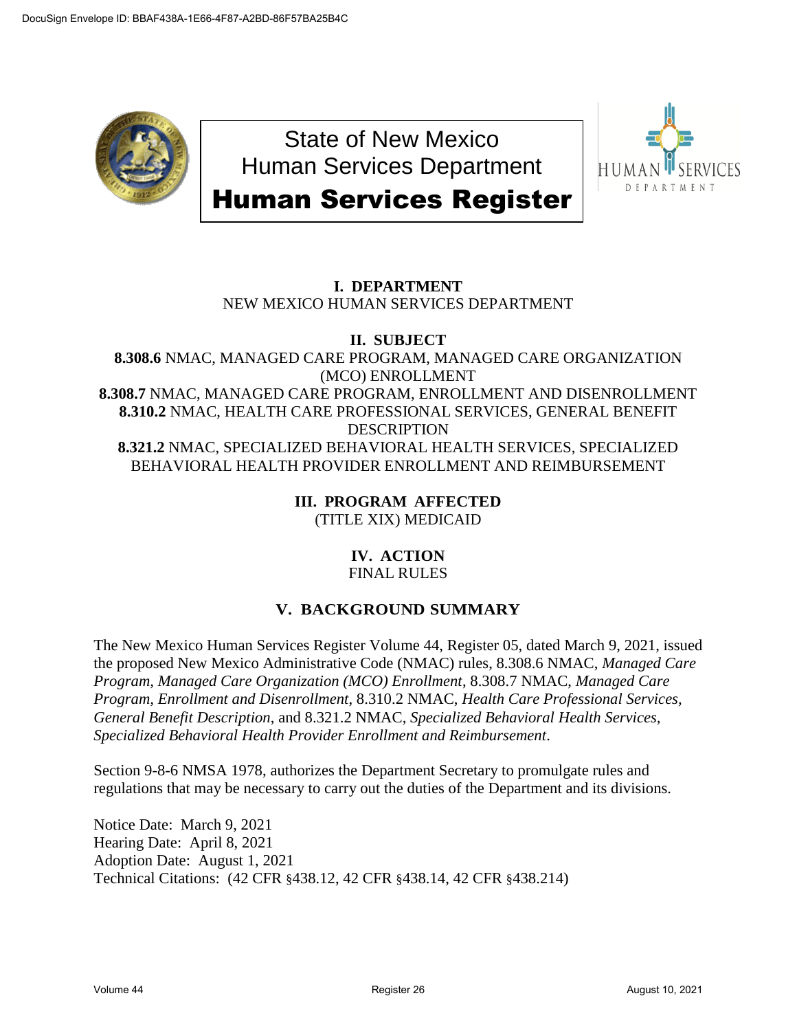

State of New Mexico Human Services Department Human Services Register



# **I. DEPARTMENT** NEW MEXICO HUMAN SERVICES DEPARTMENT

# **II. SUBJECT**

**8.308.6** NMAC, MANAGED CARE PROGRAM, MANAGED CARE ORGANIZATION (MCO) ENROLLMENT **8.308.7** NMAC, MANAGED CARE PROGRAM, ENROLLMENT AND DISENROLLMENT **8.310.2** NMAC, HEALTH CARE PROFESSIONAL SERVICES, GENERAL BENEFIT **DESCRIPTION 8.321.2** NMAC, SPECIALIZED BEHAVIORAL HEALTH SERVICES, SPECIALIZED BEHAVIORAL HEALTH PROVIDER ENROLLMENT AND REIMBURSEMENT

> **III. PROGRAM AFFECTED** (TITLE XIX) MEDICAID

> > **IV. ACTION** FINAL RULES

# **V. BACKGROUND SUMMARY**

The New Mexico Human Services Register Volume 44, Register 05, dated March 9, 2021, issued the proposed New Mexico Administrative Code (NMAC) rules, 8.308.6 NMAC, *Managed Care Program, Managed Care Organization (MCO) Enrollment*, 8.308.7 NMAC, *Managed Care Program, Enrollment and Disenrollment*, 8.310.2 NMAC, *Health Care Professional Services, General Benefit Description*, and 8.321.2 NMAC, *Specialized Behavioral Health Services, Specialized Behavioral Health Provider Enrollment and Reimbursement*.

Section 9-8-6 NMSA 1978, authorizes the Department Secretary to promulgate rules and regulations that may be necessary to carry out the duties of the Department and its divisions.

Notice Date: March 9, 2021 Hearing Date: April 8, 2021 Adoption Date: August 1, 2021 Technical Citations: (42 CFR §438.12, 42 CFR §438.14, 42 CFR §438.214)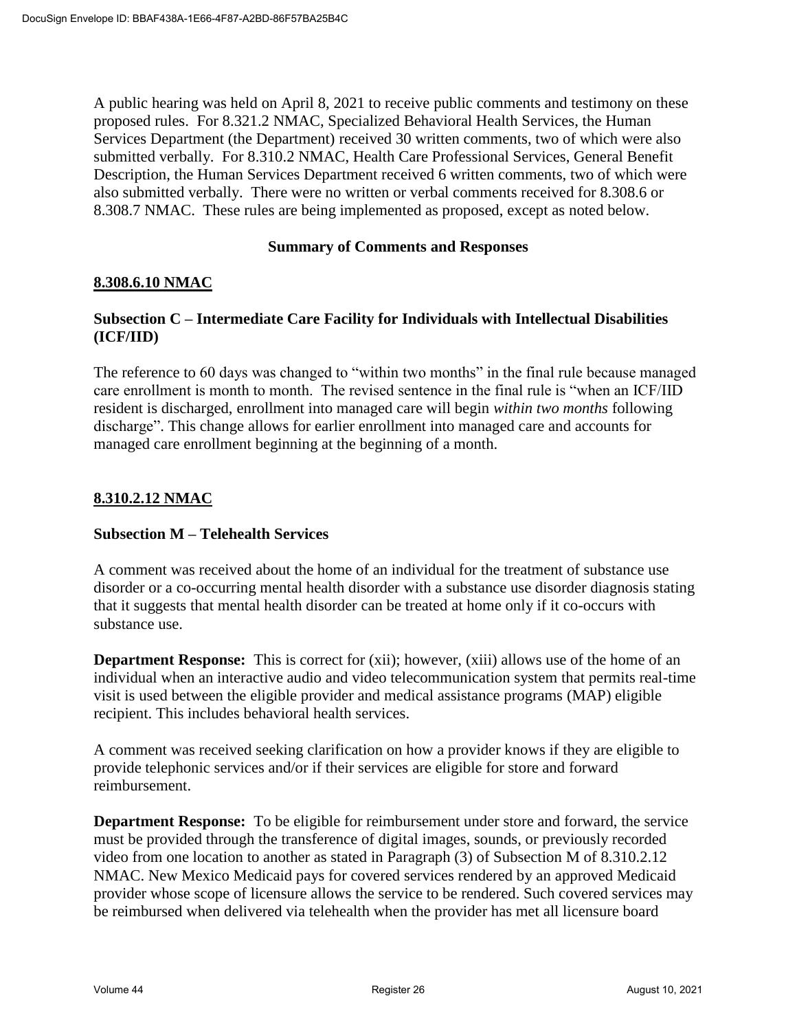A public hearing was held on April 8, 2021 to receive public comments and testimony on these proposed rules. For 8.321.2 NMAC, Specialized Behavioral Health Services, the Human Services Department (the Department) received 30 written comments, two of which were also submitted verbally. For 8.310.2 NMAC, Health Care Professional Services, General Benefit Description, the Human Services Department received 6 written comments, two of which were also submitted verbally. There were no written or verbal comments received for 8.308.6 or 8.308.7 NMAC. These rules are being implemented as proposed, except as noted below.

#### **Summary of Comments and Responses**

## **8.308.6.10 NMAC**

## **Subsection C – Intermediate Care Facility for Individuals with Intellectual Disabilities (ICF/IID)**

The reference to 60 days was changed to "within two months" in the final rule because managed care enrollment is month to month. The revised sentence in the final rule is "when an ICF/IID resident is discharged, enrollment into managed care will begin *within two months* following discharge". This change allows for earlier enrollment into managed care and accounts for managed care enrollment beginning at the beginning of a month.

## **8.310.2.12 NMAC**

#### **Subsection M – Telehealth Services**

A comment was received about the home of an individual for the treatment of substance use disorder or a co-occurring mental health disorder with a substance use disorder diagnosis stating that it suggests that mental health disorder can be treated at home only if it co-occurs with substance use.

**Department Response:** This is correct for (xii); however, (xiii) allows use of the home of an individual when an interactive audio and video telecommunication system that permits real-time visit is used between the eligible provider and medical assistance programs (MAP) eligible recipient. This includes behavioral health services.

A comment was received seeking clarification on how a provider knows if they are eligible to provide telephonic services and/or if their services are eligible for store and forward reimbursement.

**Department Response:** To be eligible for reimbursement under store and forward, the service must be provided through the transference of digital images, sounds, or previously recorded video from one location to another as stated in Paragraph (3) of Subsection M of 8.310.2.12 NMAC. New Mexico Medicaid pays for covered services rendered by an approved Medicaid provider whose scope of licensure allows the service to be rendered. Such covered services may be reimbursed when delivered via telehealth when the provider has met all licensure board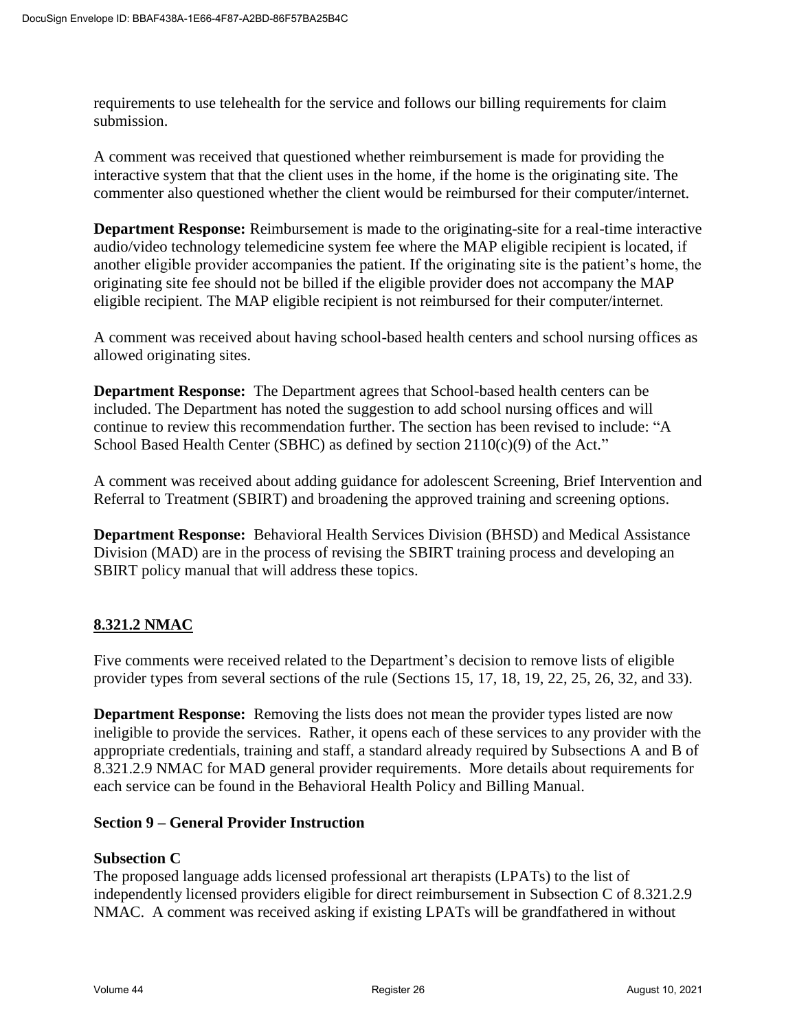requirements to use telehealth for the service and follows our billing requirements for claim submission.

A comment was received that questioned whether reimbursement is made for providing the interactive system that that the client uses in the home, if the home is the originating site. The commenter also questioned whether the client would be reimbursed for their computer/internet.

**Department Response:** Reimbursement is made to the originating-site for a real-time interactive audio/video technology telemedicine system fee where the MAP eligible recipient is located, if another eligible provider accompanies the patient. If the originating site is the patient's home, the originating site fee should not be billed if the eligible provider does not accompany the MAP eligible recipient. The MAP eligible recipient is not reimbursed for their computer/internet.

A comment was received about having school-based health centers and school nursing offices as allowed originating sites.

**Department Response:** The Department agrees that School-based health centers can be included. The Department has noted the suggestion to add school nursing offices and will continue to review this recommendation further. The section has been revised to include: "A School Based Health Center (SBHC) as defined by section  $2110(c)(9)$  of the Act."

A comment was received about adding guidance for adolescent Screening, Brief Intervention and Referral to Treatment (SBIRT) and broadening the approved training and screening options.

**Department Response:** Behavioral Health Services Division (BHSD) and Medical Assistance Division (MAD) are in the process of revising the SBIRT training process and developing an SBIRT policy manual that will address these topics.

# **8.321.2 NMAC**

Five comments were received related to the Department's decision to remove lists of eligible provider types from several sections of the rule (Sections 15, 17, 18, 19, 22, 25, 26, 32, and 33).

**Department Response:** Removing the lists does not mean the provider types listed are now ineligible to provide the services. Rather, it opens each of these services to any provider with the appropriate credentials, training and staff, a standard already required by Subsections A and B of 8.321.2.9 NMAC for MAD general provider requirements. More details about requirements for each service can be found in the Behavioral Health Policy and Billing Manual.

#### **Section 9 – General Provider Instruction**

#### **Subsection C**

The proposed language adds licensed professional art therapists (LPATs) to the list of independently licensed providers eligible for direct reimbursement in Subsection C of 8.321.2.9 NMAC. A comment was received asking if existing LPATs will be grandfathered in without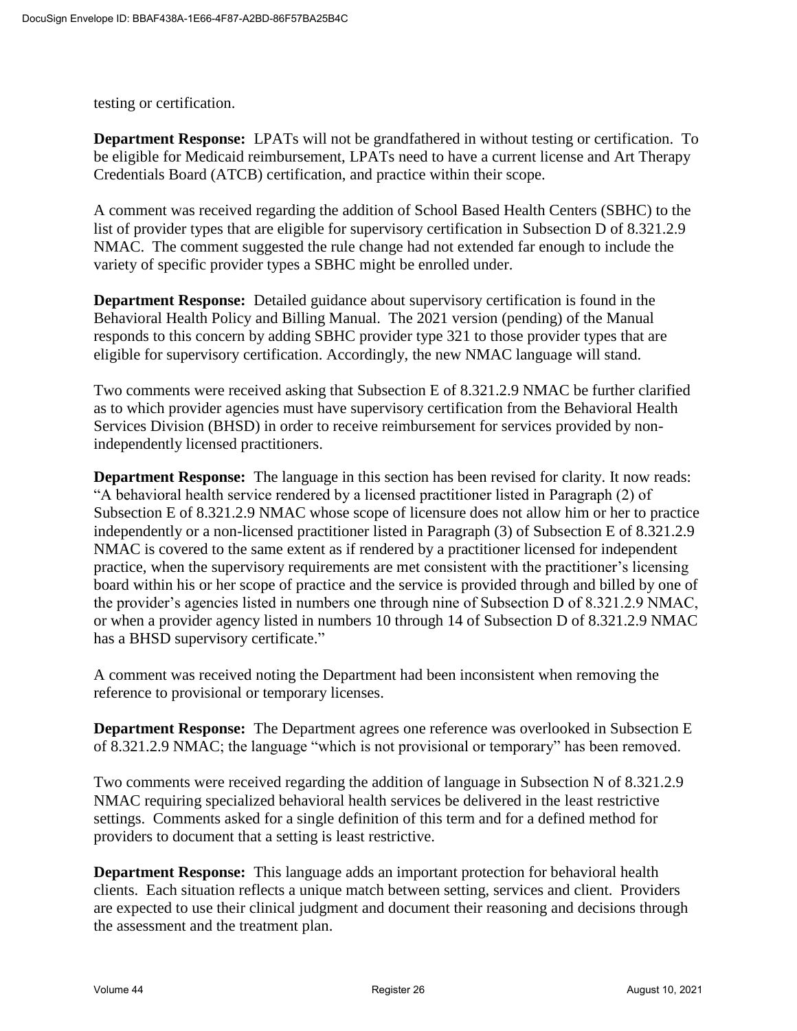testing or certification.

**Department Response:** LPATs will not be grandfathered in without testing or certification. To be eligible for Medicaid reimbursement, LPATs need to have a current license and Art Therapy Credentials Board (ATCB) certification, and practice within their scope.

A comment was received regarding the addition of School Based Health Centers (SBHC) to the list of provider types that are eligible for supervisory certification in Subsection D of 8.321.2.9 NMAC. The comment suggested the rule change had not extended far enough to include the variety of specific provider types a SBHC might be enrolled under.

**Department Response:** Detailed guidance about supervisory certification is found in the Behavioral Health Policy and Billing Manual. The 2021 version (pending) of the Manual responds to this concern by adding SBHC provider type 321 to those provider types that are eligible for supervisory certification. Accordingly, the new NMAC language will stand.

Two comments were received asking that Subsection E of 8.321.2.9 NMAC be further clarified as to which provider agencies must have supervisory certification from the Behavioral Health Services Division (BHSD) in order to receive reimbursement for services provided by nonindependently licensed practitioners.

**Department Response:** The language in this section has been revised for clarity. It now reads: "A behavioral health service rendered by a licensed practitioner listed in Paragraph (2) of Subsection E of 8.321.2.9 NMAC whose scope of licensure does not allow him or her to practice independently or a non-licensed practitioner listed in Paragraph (3) of Subsection E of 8.321.2.9 NMAC is covered to the same extent as if rendered by a practitioner licensed for independent practice, when the supervisory requirements are met consistent with the practitioner's licensing board within his or her scope of practice and the service is provided through and billed by one of the provider's agencies listed in numbers one through nine of Subsection D of 8.321.2.9 NMAC, or when a provider agency listed in numbers 10 through 14 of Subsection D of 8.321.2.9 NMAC has a BHSD supervisory certificate."

A comment was received noting the Department had been inconsistent when removing the reference to provisional or temporary licenses.

**Department Response:** The Department agrees one reference was overlooked in Subsection E of 8.321.2.9 NMAC; the language "which is not provisional or temporary" has been removed.

Two comments were received regarding the addition of language in Subsection N of 8.321.2.9 NMAC requiring specialized behavioral health services be delivered in the least restrictive settings. Comments asked for a single definition of this term and for a defined method for providers to document that a setting is least restrictive.

**Department Response:** This language adds an important protection for behavioral health clients. Each situation reflects a unique match between setting, services and client. Providers are expected to use their clinical judgment and document their reasoning and decisions through the assessment and the treatment plan.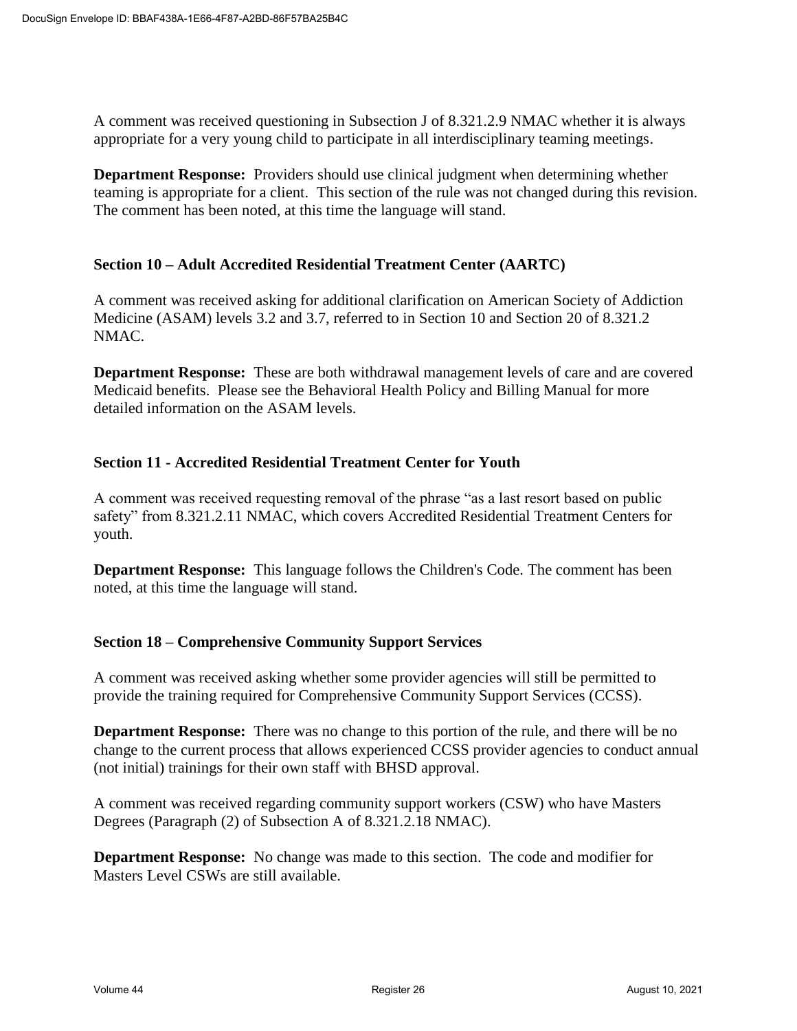A comment was received questioning in Subsection J of 8.321.2.9 NMAC whether it is always appropriate for a very young child to participate in all interdisciplinary teaming meetings.

**Department Response:** Providers should use clinical judgment when determining whether teaming is appropriate for a client. This section of the rule was not changed during this revision. The comment has been noted, at this time the language will stand.

#### **Section 10 – Adult Accredited Residential Treatment Center (AARTC)**

A comment was received asking for additional clarification on American Society of Addiction Medicine (ASAM) levels 3.2 and 3.7, referred to in Section 10 and Section 20 of 8.321.2 NMAC.

**Department Response:** These are both withdrawal management levels of care and are covered Medicaid benefits. Please see the Behavioral Health Policy and Billing Manual for more detailed information on the ASAM levels.

#### **Section 11 - Accredited Residential Treatment Center for Youth**

A comment was received requesting removal of the phrase "as a last resort based on public safety" from 8.321.2.11 NMAC, which covers Accredited Residential Treatment Centers for youth.

**Department Response:** This language follows the Children's Code. The comment has been noted, at this time the language will stand.

#### **Section 18 – Comprehensive Community Support Services**

A comment was received asking whether some provider agencies will still be permitted to provide the training required for Comprehensive Community Support Services (CCSS).

**Department Response:** There was no change to this portion of the rule, and there will be no change to the current process that allows experienced CCSS provider agencies to conduct annual (not initial) trainings for their own staff with BHSD approval.

A comment was received regarding community support workers (CSW) who have Masters Degrees (Paragraph (2) of Subsection A of 8.321.2.18 NMAC).

**Department Response:** No change was made to this section. The code and modifier for Masters Level CSWs are still available.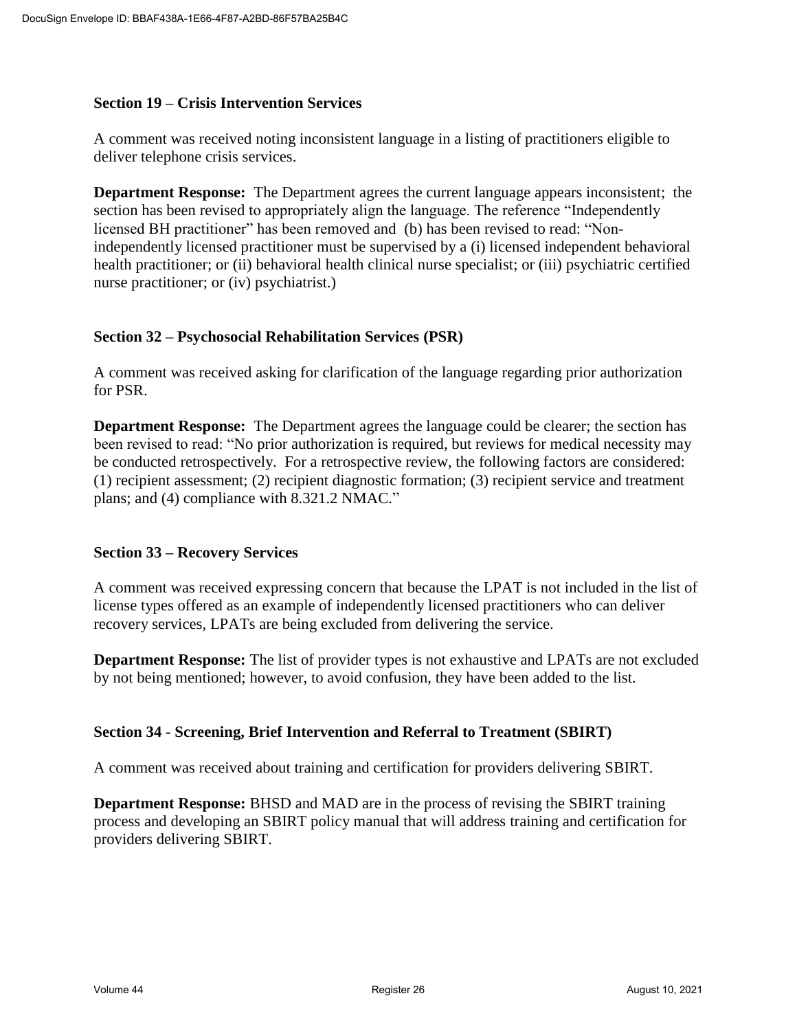#### **Section 19 – Crisis Intervention Services**

A comment was received noting inconsistent language in a listing of practitioners eligible to deliver telephone crisis services.

**Department Response:** The Department agrees the current language appears inconsistent; the section has been revised to appropriately align the language. The reference "Independently licensed BH practitioner" has been removed and (b) has been revised to read: "Nonindependently licensed practitioner must be supervised by a (i) licensed independent behavioral health practitioner; or (ii) behavioral health clinical nurse specialist; or (iii) psychiatric certified nurse practitioner; or (iv) psychiatrist.)

## **Section 32 – Psychosocial Rehabilitation Services (PSR)**

A comment was received asking for clarification of the language regarding prior authorization for PSR.

**Department Response:** The Department agrees the language could be clearer; the section has been revised to read: "No prior authorization is required, but reviews for medical necessity may be conducted retrospectively. For a retrospective review, the following factors are considered: (1) recipient assessment; (2) recipient diagnostic formation; (3) recipient service and treatment plans; and (4) compliance with 8.321.2 NMAC."

#### **Section 33 – Recovery Services**

A comment was received expressing concern that because the LPAT is not included in the list of license types offered as an example of independently licensed practitioners who can deliver recovery services, LPATs are being excluded from delivering the service.

**Department Response:** The list of provider types is not exhaustive and LPATs are not excluded by not being mentioned; however, to avoid confusion, they have been added to the list.

#### **Section 34 - Screening, Brief Intervention and Referral to Treatment (SBIRT)**

A comment was received about training and certification for providers delivering SBIRT.

**Department Response:** BHSD and MAD are in the process of revising the SBIRT training process and developing an SBIRT policy manual that will address training and certification for providers delivering SBIRT.